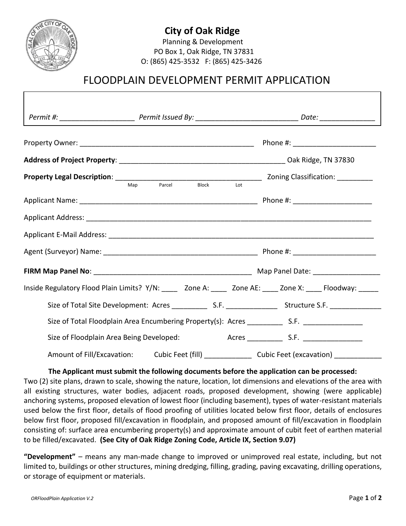

## **City of Oak Ridge**

Planning & Development PO Box 1, Oak Ridge, TN 37831 O: (865) 425-3532 F: (865) 425-3426

# FLOODPLAIN DEVELOPMENT PERMIT APPLICATION

| Inside Regulatory Flood Plain Limits? Y/N: _____ Zone A: _____ Zone AE: ____ Zone X: ____ Floodway: _____ |                                                                                                    |  |  |  |  |
|-----------------------------------------------------------------------------------------------------------|----------------------------------------------------------------------------------------------------|--|--|--|--|
|                                                                                                           |                                                                                                    |  |  |  |  |
|                                                                                                           |                                                                                                    |  |  |  |  |
|                                                                                                           | Size of Floodplain Area Being Developed: Acres __________________________________                  |  |  |  |  |
|                                                                                                           | Amount of Fill/Excavation: Cubic Feet (fill) ________________ Cubic Feet (excavation) ____________ |  |  |  |  |

## **The Applicant must submit the following documents before the application can be processed:**

Two (2) site plans, drawn to scale, showing the nature, location, lot dimensions and elevations of the area with all existing structures, water bodies, adjacent roads, proposed development, showing (were applicable) anchoring systems, proposed elevation of lowest floor (including basement), types of water-resistant materials used below the first floor, details of flood proofing of utilities located below first floor, details of enclosures below first floor, proposed fill/excavation in floodplain, and proposed amount of fill/excavation in floodplain consisting of: surface area encumbering property(s) and approximate amount of cubit feet of earthen material to be filled/excavated. **(See City of Oak Ridge Zoning Code, Article IX, Section 9.07)**

**"Development"** – means any man-made change to improved or unimproved real estate, including, but not limited to, buildings or other structures, mining dredging, filling, grading, paving excavating, drilling operations, or storage of equipment or materials.